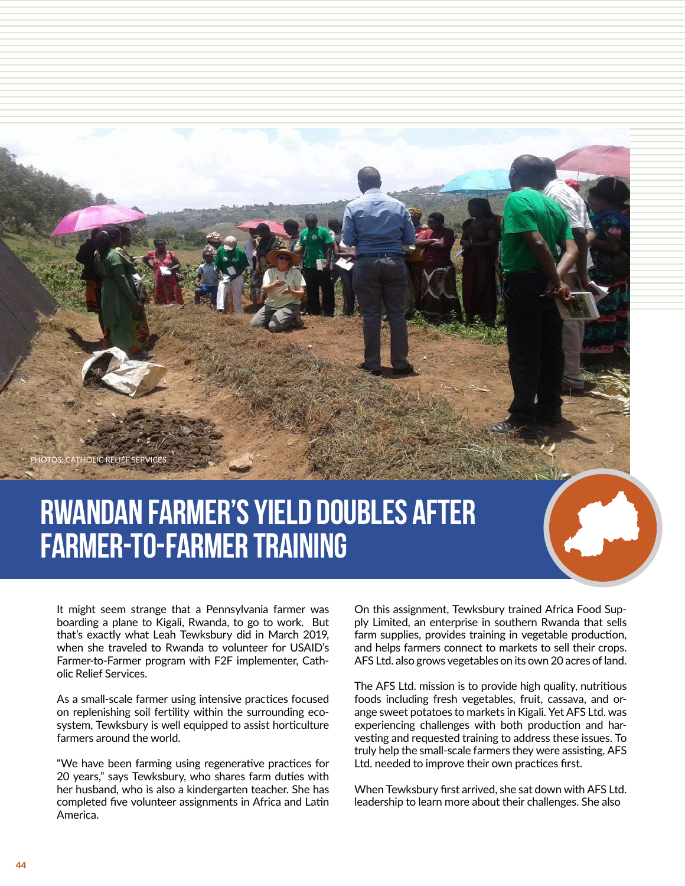**RELIEF SERVICES** 

## **Rwandan Farmer's Yield Doubles After Farmer-To-Farmer Training**

It might seem strange that a Pennsylvania farmer was boarding a plane to Kigali, Rwanda, to go to work. But that's exactly what Leah Tewksbury did in March 2019, when she traveled to Rwanda to volunteer for USAID's Farmer-to-Farmer program with F2F implementer, Catholic Relief Services.

As a small-scale farmer using intensive practices focused on replenishing soil fertility within the surrounding ecosystem, Tewksbury is well equipped to assist horticulture farmers around the world.

"We have been farming using regenerative practices for 20 years," says Tewksbury, who shares farm duties with her husband, who is also a kindergarten teacher. She has completed five volunteer assignments in Africa and Latin America.

On this assignment, Tewksbury trained Africa Food Supply Limited, an enterprise in southern Rwanda that sells farm supplies, provides training in vegetable production, and helps farmers connect to markets to sell their crops. AFS Ltd. also grows vegetables on its own 20 acres of land.

The AFS Ltd. mission is to provide high quality, nutritious foods including fresh vegetables, fruit, cassava, and orange sweet potatoes to markets in Kigali. Yet AFS Ltd. was experiencing challenges with both production and harvesting and requested training to address these issues. To truly help the small-scale farmers they were assisting, AFS Ltd. needed to improve their own practices first.

When Tewksbury first arrived, she sat down with AFS Ltd. leadership to learn more about their challenges. She also